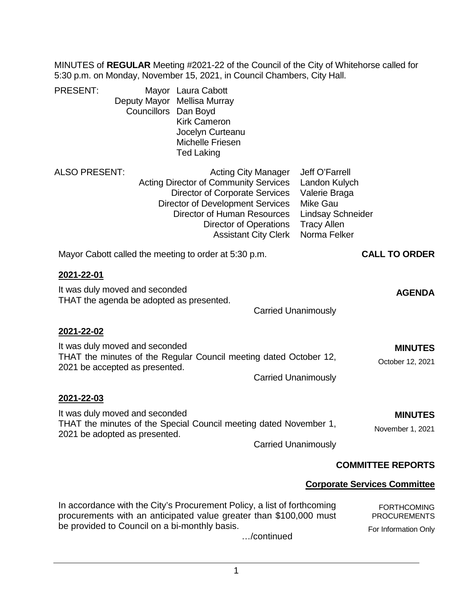MINUTES of **REGULAR** Meeting #2021-22 of the Council of the City of Whitehorse called for 5:30 p.m. on Monday, November 15, 2021, in Council Chambers, City Hall.

| <b>PRESENT:</b><br>Councillors                                                                                                                                                                 | Mayor Laura Cabott<br>Deputy Mayor Mellisa Murray<br>Dan Boyd<br><b>Kirk Cameron</b><br>Jocelyn Curteanu<br><b>Michelle Friesen</b><br><b>Ted Laking</b>                                  |                                                           |                                                                                                                                       |                                                                   |
|------------------------------------------------------------------------------------------------------------------------------------------------------------------------------------------------|-------------------------------------------------------------------------------------------------------------------------------------------------------------------------------------------|-----------------------------------------------------------|---------------------------------------------------------------------------------------------------------------------------------------|-------------------------------------------------------------------|
| ALSO PRESENT:                                                                                                                                                                                  | <b>Acting Director of Community Services</b><br><b>Director of Corporate Services</b><br><b>Director of Development Services</b><br>Director of Human Resources<br>Director of Operations | <b>Acting City Manager</b><br><b>Assistant City Clerk</b> | Jeff O'Farrell<br>Landon Kulych<br>Valerie Braga<br><b>Mike Gau</b><br><b>Lindsay Schneider</b><br><b>Tracy Allen</b><br>Norma Felker |                                                                   |
| Mayor Cabott called the meeting to order at 5:30 p.m.                                                                                                                                          |                                                                                                                                                                                           |                                                           |                                                                                                                                       | <b>CALL TO ORDER</b>                                              |
| <u>2021-22-01</u><br>It was duly moved and seconded<br>THAT the agenda be adopted as presented.                                                                                                |                                                                                                                                                                                           | <b>Carried Unanimously</b>                                |                                                                                                                                       | <b>AGENDA</b>                                                     |
| 2021-22-02<br>It was duly moved and seconded<br>THAT the minutes of the Regular Council meeting dated October 12,<br>2021 be accepted as presented.                                            |                                                                                                                                                                                           | <b>Carried Unanimously</b>                                |                                                                                                                                       | <b>MINUTES</b><br>October 12, 2021                                |
| 2021-22-03<br>It was duly moved and seconded<br>THAT the minutes of the Special Council meeting dated November 1,<br>2021 be adopted as presented.                                             |                                                                                                                                                                                           | <b>Carried Unanimously</b>                                |                                                                                                                                       | <b>MINUTES</b><br>November 1, 2021                                |
|                                                                                                                                                                                                |                                                                                                                                                                                           |                                                           |                                                                                                                                       | <b>COMMITTEE REPORTS</b>                                          |
|                                                                                                                                                                                                |                                                                                                                                                                                           |                                                           |                                                                                                                                       | <b>Corporate Services Committee</b>                               |
| In accordance with the City's Procurement Policy, a list of forthcoming<br>procurements with an anticipated value greater than \$100,000 must<br>be provided to Council on a bi-monthly basis. |                                                                                                                                                                                           |                                                           |                                                                                                                                       | <b>FORTHCOMING</b><br><b>PROCUREMENTS</b><br>For Information Only |

…/continued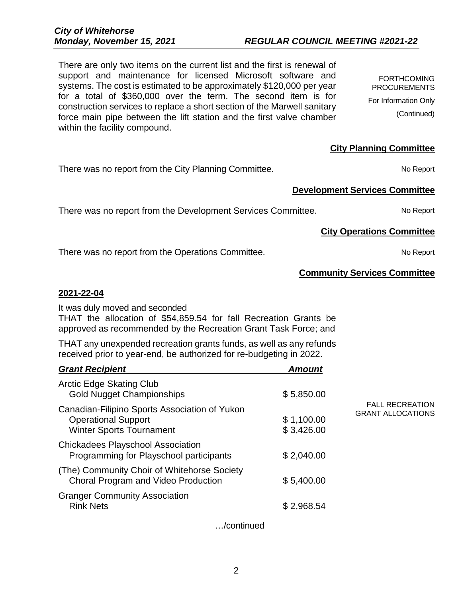2

# *Monday, November 15, 2021 REGULAR COUNCIL MEETING #2021-22*

There are only two items on the current list and the first is renewal of support and maintenance for licensed Microsoft software and systems. The cost is estimated to be approximately \$120,000 per year for a total of \$360,000 over the term. The second item is for construction services to replace a short section of the Marwell sanitary force main pipe between the lift station and the first valve chamber within the facility compound.

There was no report from the City Planning Committee. There was no Report

There was no report from the Development Services Committee. No Report

There was no report from the Operations Committee. There was no report No Report

## **Community Services Committee**

**Development Services Committee**

## **2021-22-04**

It was duly moved and seconded

THAT the allocation of \$54,859.54 for fall Recreation Grants be approved as recommended by the Recreation Grant Task Force; and

THAT any unexpended recreation grants funds, as well as any refunds received prior to year-end, be authorized for re-budgeting in 2022.

| <b>Grant Recipient</b>                                                                                         | <b>Amount</b>            |                                                    |
|----------------------------------------------------------------------------------------------------------------|--------------------------|----------------------------------------------------|
| <b>Arctic Edge Skating Club</b><br><b>Gold Nugget Championships</b>                                            | \$5,850.00               |                                                    |
| Canadian-Filipino Sports Association of Yukon<br><b>Operational Support</b><br><b>Winter Sports Tournament</b> | \$1,100.00<br>\$3,426.00 | <b>FALL RECREATION</b><br><b>GRANT ALLOCATIONS</b> |
| <b>Chickadees Playschool Association</b><br>Programming for Playschool participants                            | \$2,040.00               |                                                    |
| (The) Community Choir of Whitehorse Society<br>Choral Program and Video Production                             | \$5,400.00               |                                                    |
| <b>Granger Community Association</b><br><b>Rink Nets</b>                                                       | \$2,968.54               |                                                    |
| /continued                                                                                                     |                          |                                                    |

FORTHCOMING PROCUREMENTS For Information Only (Continued)

# **City Operations Committee**

**City Planning Committee**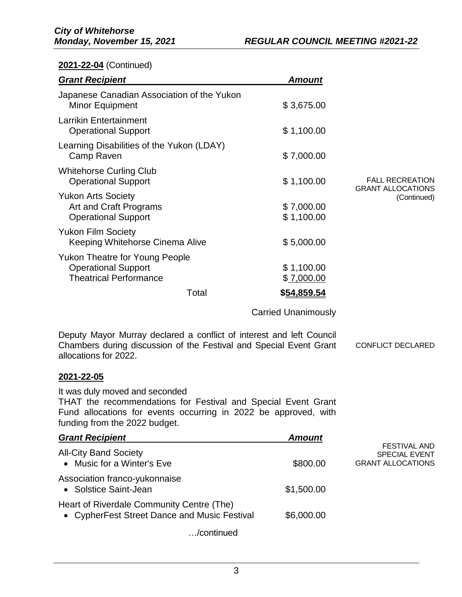## **2021-22-04** (Continued)

| <b>Grant Recipient</b>                                                                               | <b>Amount</b>            |                                                    |
|------------------------------------------------------------------------------------------------------|--------------------------|----------------------------------------------------|
| Japanese Canadian Association of the Yukon<br><b>Minor Equipment</b>                                 | \$3,675.00               |                                                    |
| <b>Larrikin Entertainment</b><br><b>Operational Support</b>                                          | \$1,100.00               |                                                    |
| Learning Disabilities of the Yukon (LDAY)<br>Camp Raven                                              | \$7,000.00               |                                                    |
| <b>Whitehorse Curling Club</b><br><b>Operational Support</b>                                         | \$1,100.00               | <b>FALL RECREATION</b><br><b>GRANT ALLOCATIONS</b> |
| <b>Yukon Arts Society</b><br>Art and Craft Programs<br><b>Operational Support</b>                    | \$7,000.00<br>\$1,100.00 | (Continued)                                        |
| <b>Yukon Film Society</b><br>Keeping Whitehorse Cinema Alive                                         | \$5,000.00               |                                                    |
| <b>Yukon Theatre for Young People</b><br><b>Operational Support</b><br><b>Theatrical Performance</b> | \$1,100.00<br>\$7,000.00 |                                                    |
| Total                                                                                                | \$54.859.54              |                                                    |

Carried Unanimously

Deputy Mayor Murray declared a conflict of interest and left Council Chambers during discussion of the Festival and Special Event Grant allocations for 2022. CONFLICT DECLARED

#### **2021-22-05**

It was duly moved and seconded

THAT the recommendations for Festival and Special Event Grant Fund allocations for events occurring in 2022 be approved, with funding from the 2022 budget.

| <b>Grant Recipient</b>                                                                    | <b>Amount</b> |                                                                         |
|-------------------------------------------------------------------------------------------|---------------|-------------------------------------------------------------------------|
| <b>All-City Band Society</b><br>• Music for a Winter's Eve                                | \$800.00      | <b>FESTIVAL AND</b><br><b>SPECIAL EVENT</b><br><b>GRANT ALLOCATIONS</b> |
| Association franco-yukonnaise<br>• Solstice Saint-Jean                                    | \$1,500.00    |                                                                         |
| Heart of Riverdale Community Centre (The)<br>• CypherFest Street Dance and Music Festival | \$6,000.00    |                                                                         |
|                                                                                           |               |                                                                         |

…/continued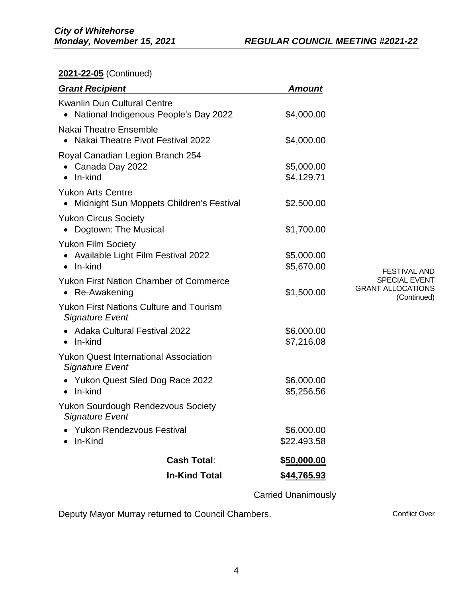**2021-22-05** (Continued)

| \$4,000.00                |                                                                 |
|---------------------------|-----------------------------------------------------------------|
| \$5,000.00<br>\$4,129.71  |                                                                 |
| \$2,500.00                |                                                                 |
| \$1,700.00                |                                                                 |
| \$5,000.00<br>\$5,670.00  | <b>FESTIVAL AND</b>                                             |
| \$1,500.00                | <b>SPECIAL EVENT</b><br><b>GRANT ALLOCATIONS</b><br>(Continued) |
|                           |                                                                 |
| \$6,000.00<br>\$7,216.08  |                                                                 |
|                           |                                                                 |
| \$6,000.00<br>\$5,256.56  |                                                                 |
|                           |                                                                 |
| \$6,000.00<br>\$22,493.58 |                                                                 |
| <u>\$50,000.00</u>        |                                                                 |
| \$44,765.93               |                                                                 |
|                           | \$4,000.00                                                      |

Carried Unanimously

Deputy Mayor Murray returned to Council Chambers. The contract Conflict Over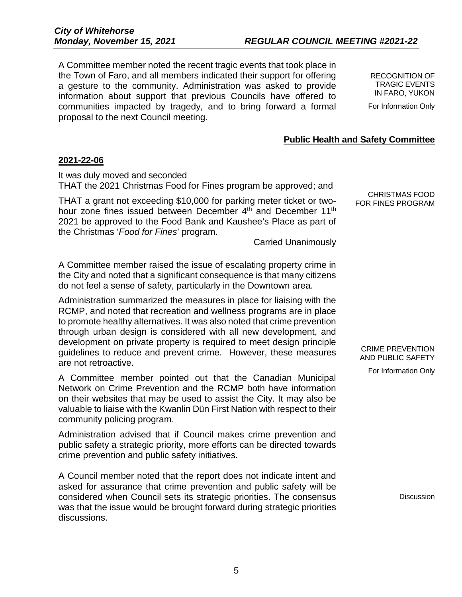5

A Committee member noted the recent tragic events that took place in the Town of Faro, and all members indicated their support for offering a gesture to the community. Administration was asked to provide information about support that previous Councils have offered to communities impacted by tragedy, and to bring forward a formal proposal to the next Council meeting.

RECOGNITION OF TRAGIC EVENTS IN FARO, YUKON For Information Only

# **Public Health and Safety Committee**

## **2021-22-06**

It was duly moved and seconded THAT the 2021 Christmas Food for Fines program be approved; and

THAT a grant not exceeding \$10,000 for parking meter ticket or twohour zone fines issued between December 4<sup>th</sup> and December 11<sup>th</sup> 2021 be approved to the Food Bank and Kaushee's Place as part of the Christmas '*Food for Fines*' program.

Carried Unanimously

A Committee member raised the issue of escalating property crime in the City and noted that a significant consequence is that many citizens do not feel a sense of safety, particularly in the Downtown area.

Administration summarized the measures in place for liaising with the RCMP, and noted that recreation and wellness programs are in place to promote healthy alternatives. It was also noted that crime prevention through urban design is considered with all new development, and development on private property is required to meet design principle guidelines to reduce and prevent crime. However, these measures are not retroactive.

A Committee member pointed out that the Canadian Municipal Network on Crime Prevention and the RCMP both have information on their websites that may be used to assist the City. It may also be valuable to liaise with the Kwanlin Dün First Nation with respect to their community policing program.

Administration advised that if Council makes crime prevention and public safety a strategic priority, more efforts can be directed towards crime prevention and public safety initiatives.

A Council member noted that the report does not indicate intent and asked for assurance that crime prevention and public safety will be considered when Council sets its strategic priorities. The consensus was that the issue would be brought forward during strategic priorities discussions.

CHRISTMAS FOOD FOR FINES PROGRAM

CRIME PREVENTION AND PUBLIC SAFETY

For Information Only

**Discussion**